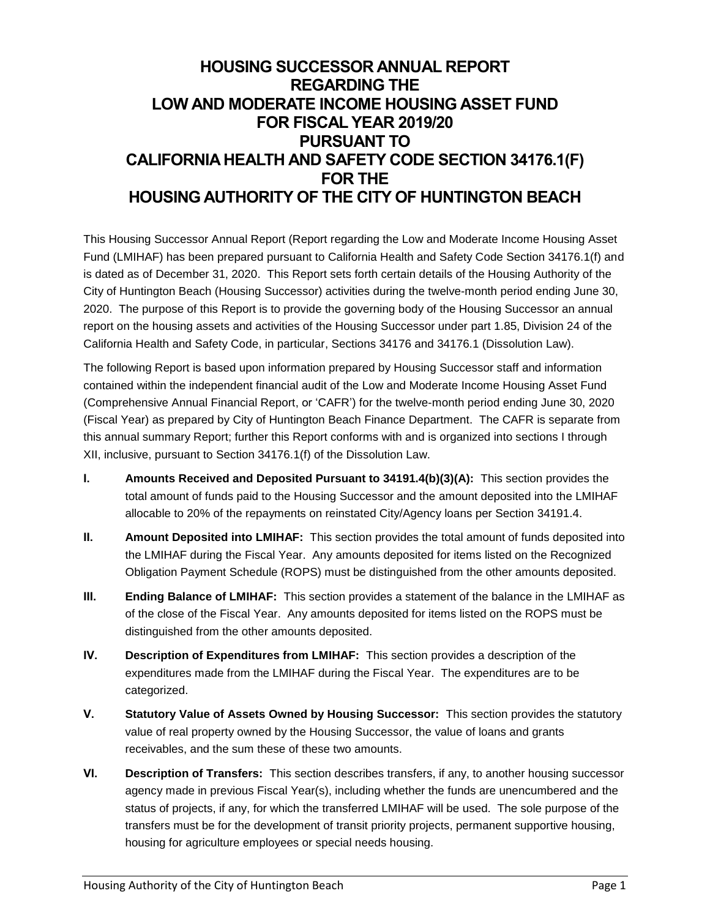# **HOUSING SUCCESSOR ANNUAL REPORT REGARDING THE LOW AND MODERATE INCOME HOUSING ASSET FUND FOR FISCAL YEAR 2019/20 PURSUANT TO CALIFORNIA HEALTH AND SAFETY CODE SECTION 34176.1(F) FOR THE HOUSING AUTHORITY OF THE CITY OF HUNTINGTON BEACH**

This Housing Successor Annual Report (Report regarding the Low and Moderate Income Housing Asset Fund (LMIHAF) has been prepared pursuant to California Health and Safety Code Section 34176.1(f) and is dated as of December 31, 2020. This Report sets forth certain details of the Housing Authority of the City of Huntington Beach (Housing Successor) activities during the twelve-month period ending June 30, 2020. The purpose of this Report is to provide the governing body of the Housing Successor an annual report on the housing assets and activities of the Housing Successor under part 1.85, Division 24 of the California Health and Safety Code, in particular, Sections 34176 and 34176.1 (Dissolution Law).

The following Report is based upon information prepared by Housing Successor staff and information contained within the independent financial audit of the Low and Moderate Income Housing Asset Fund (Comprehensive Annual Financial Report, or 'CAFR') for the twelve-month period ending June 30, 2020 (Fiscal Year) as prepared by City of Huntington Beach Finance Department. The CAFR is separate from this annual summary Report; further this Report conforms with and is organized into sections I through XII, inclusive, pursuant to Section 34176.1(f) of the Dissolution Law.

- **I. Amounts Received and Deposited Pursuant to 34191.4(b)(3)(A):** This section provides the total amount of funds paid to the Housing Successor and the amount deposited into the LMIHAF allocable to 20% of the repayments on reinstated City/Agency loans per Section 34191.4.
- **II. Amount Deposited into LMIHAF:** This section provides the total amount of funds deposited into the LMIHAF during the Fiscal Year. Any amounts deposited for items listed on the Recognized Obligation Payment Schedule (ROPS) must be distinguished from the other amounts deposited.
- **III. Ending Balance of LMIHAF:** This section provides a statement of the balance in the LMIHAF as of the close of the Fiscal Year. Any amounts deposited for items listed on the ROPS must be distinguished from the other amounts deposited.
- **IV. Description of Expenditures from LMIHAF:** This section provides a description of the expenditures made from the LMIHAF during the Fiscal Year. The expenditures are to be categorized.
- **V. Statutory Value of Assets Owned by Housing Successor:** This section provides the statutory value of real property owned by the Housing Successor, the value of loans and grants receivables, and the sum these of these two amounts.
- **VI. Description of Transfers:** This section describes transfers, if any, to another housing successor agency made in previous Fiscal Year(s), including whether the funds are unencumbered and the status of projects, if any, for which the transferred LMIHAF will be used. The sole purpose of the transfers must be for the development of transit priority projects, permanent supportive housing, housing for agriculture employees or special needs housing.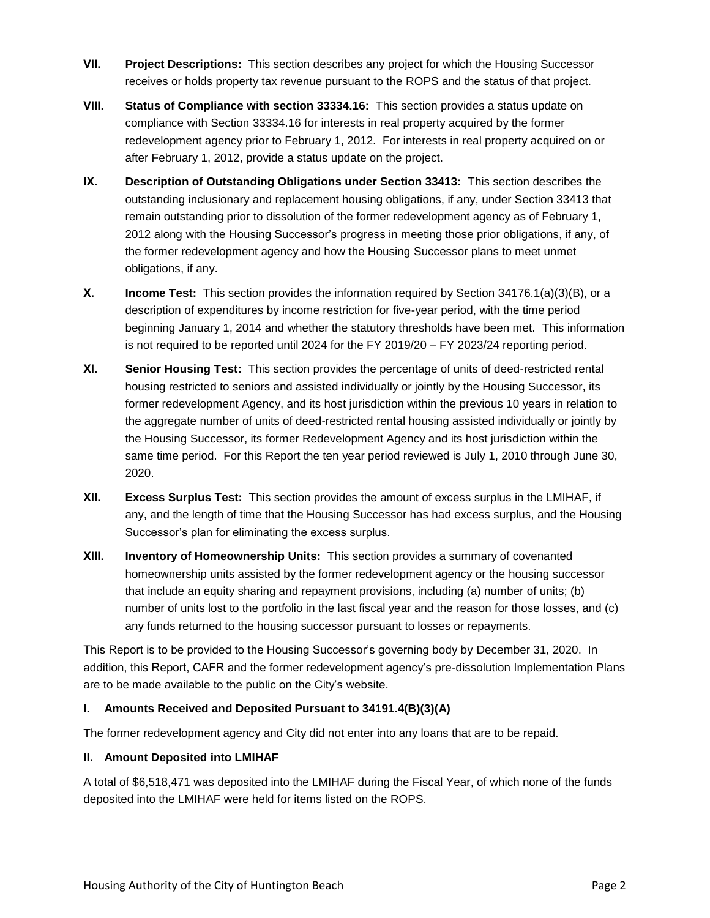- **VII. Project Descriptions:** This section describes any project for which the Housing Successor receives or holds property tax revenue pursuant to the ROPS and the status of that project.
- **VIII. Status of Compliance with section 33334.16:** This section provides a status update on compliance with Section 33334.16 for interests in real property acquired by the former redevelopment agency prior to February 1, 2012. For interests in real property acquired on or after February 1, 2012, provide a status update on the project.
- **IX. Description of Outstanding Obligations under Section 33413:** This section describes the outstanding inclusionary and replacement housing obligations, if any, under Section 33413 that remain outstanding prior to dissolution of the former redevelopment agency as of February 1, 2012 along with the Housing Successor's progress in meeting those prior obligations, if any, of the former redevelopment agency and how the Housing Successor plans to meet unmet obligations, if any.
- **X. Income Test:** This section provides the information required by Section 34176.1(a)(3)(B), or a description of expenditures by income restriction for five-year period, with the time period beginning January 1, 2014 and whether the statutory thresholds have been met. This information is not required to be reported until 2024 for the FY 2019/20 – FY 2023/24 reporting period.
- **XI. Senior Housing Test:** This section provides the percentage of units of deed-restricted rental housing restricted to seniors and assisted individually or jointly by the Housing Successor, its former redevelopment Agency, and its host jurisdiction within the previous 10 years in relation to the aggregate number of units of deed-restricted rental housing assisted individually or jointly by the Housing Successor, its former Redevelopment Agency and its host jurisdiction within the same time period. For this Report the ten year period reviewed is July 1, 2010 through June 30, 2020.
- **XII. Excess Surplus Test:** This section provides the amount of excess surplus in the LMIHAF, if any, and the length of time that the Housing Successor has had excess surplus, and the Housing Successor's plan for eliminating the excess surplus.
- **XIII. Inventory of Homeownership Units:** This section provides a summary of covenanted homeownership units assisted by the former redevelopment agency or the housing successor that include an equity sharing and repayment provisions, including (a) number of units; (b) number of units lost to the portfolio in the last fiscal year and the reason for those losses, and (c) any funds returned to the housing successor pursuant to losses or repayments.

This Report is to be provided to the Housing Successor's governing body by December 31, 2020. In addition, this Report, CAFR and the former redevelopment agency's pre-dissolution Implementation Plans are to be made available to the public on the City's website.

## **I. Amounts Received and Deposited Pursuant to 34191.4(B)(3)(A)**

The former redevelopment agency and City did not enter into any loans that are to be repaid.

#### **II. Amount Deposited into LMIHAF**

A total of \$6,518,471 was deposited into the LMIHAF during the Fiscal Year, of which none of the funds deposited into the LMIHAF were held for items listed on the ROPS.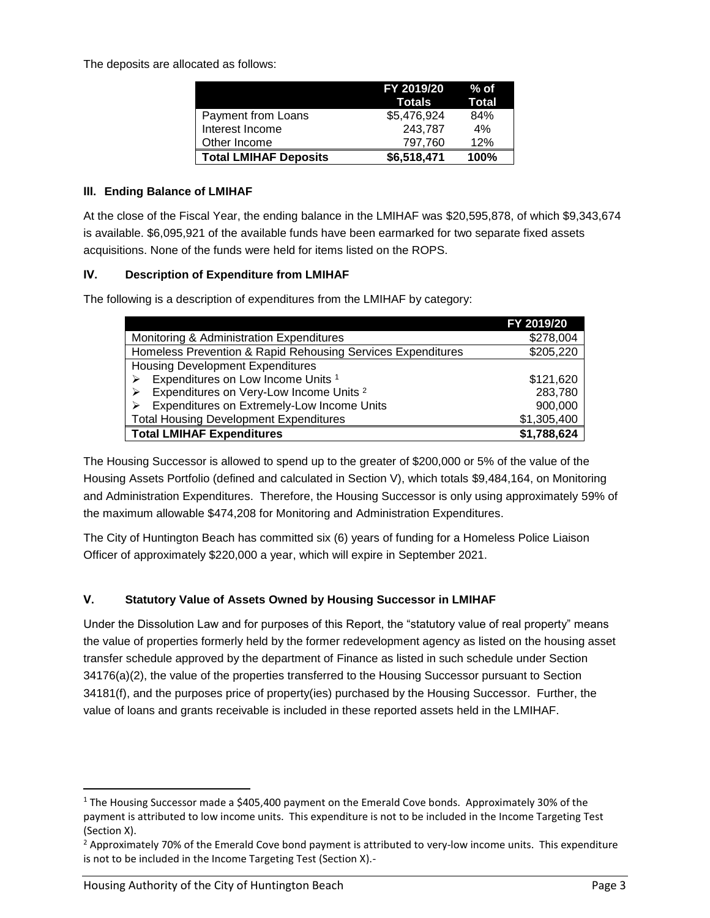The deposits are allocated as follows:

|                              | FY 2019/20<br><b>Totals</b> | % of<br>Total |
|------------------------------|-----------------------------|---------------|
| Payment from Loans           | \$5,476,924                 | 84%           |
| Interest Income              | 243,787                     | 4%            |
| Other Income                 | 797.760                     | 12%           |
| <b>Total LMIHAF Deposits</b> | \$6,518,471                 | 100%          |

### **III. Ending Balance of LMIHAF**

At the close of the Fiscal Year, the ending balance in the LMIHAF was \$20,595,878, of which \$9,343,674 is available. \$6,095,921 of the available funds have been earmarked for two separate fixed assets acquisitions. None of the funds were held for items listed on the ROPS.

#### **IV. Description of Expenditure from LMIHAF**

The following is a description of expenditures from the LMIHAF by category:

|                                                             | FY 2019/20  |
|-------------------------------------------------------------|-------------|
| Monitoring & Administration Expenditures                    | \$278,004   |
| Homeless Prevention & Rapid Rehousing Services Expenditures | \$205,220   |
| <b>Housing Development Expenditures</b>                     |             |
| Expenditures on Low Income Units <sup>1</sup>               | \$121,620   |
| Expenditures on Very-Low Income Units <sup>2</sup>          | 283,780     |
| Expenditures on Extremely-Low Income Units                  | 900,000     |
| <b>Total Housing Development Expenditures</b>               | \$1,305,400 |
| <b>Total LMIHAF Expenditures</b>                            | \$1,788,624 |

The Housing Successor is allowed to spend up to the greater of \$200,000 or 5% of the value of the Housing Assets Portfolio (defined and calculated in Section V), which totals \$9,484,164, on Monitoring and Administration Expenditures. Therefore, the Housing Successor is only using approximately 59% of the maximum allowable \$474,208 for Monitoring and Administration Expenditures.

The City of Huntington Beach has committed six (6) years of funding for a Homeless Police Liaison Officer of approximately \$220,000 a year, which will expire in September 2021.

## **V. Statutory Value of Assets Owned by Housing Successor in LMIHAF**

Under the Dissolution Law and for purposes of this Report, the "statutory value of real property" means the value of properties formerly held by the former redevelopment agency as listed on the housing asset transfer schedule approved by the department of Finance as listed in such schedule under Section 34176(a)(2), the value of the properties transferred to the Housing Successor pursuant to Section 34181(f), and the purposes price of property(ies) purchased by the Housing Successor. Further, the value of loans and grants receivable is included in these reported assets held in the LMIHAF.

 $\overline{\phantom{a}}$ 

 $1$  The Housing Successor made a \$405,400 payment on the Emerald Cove bonds. Approximately 30% of the payment is attributed to low income units. This expenditure is not to be included in the Income Targeting Test (Section X).

 $<sup>2</sup>$  Approximately 70% of the Emerald Cove bond payment is attributed to very-low income units. This expenditure</sup> is not to be included in the Income Targeting Test (Section X).-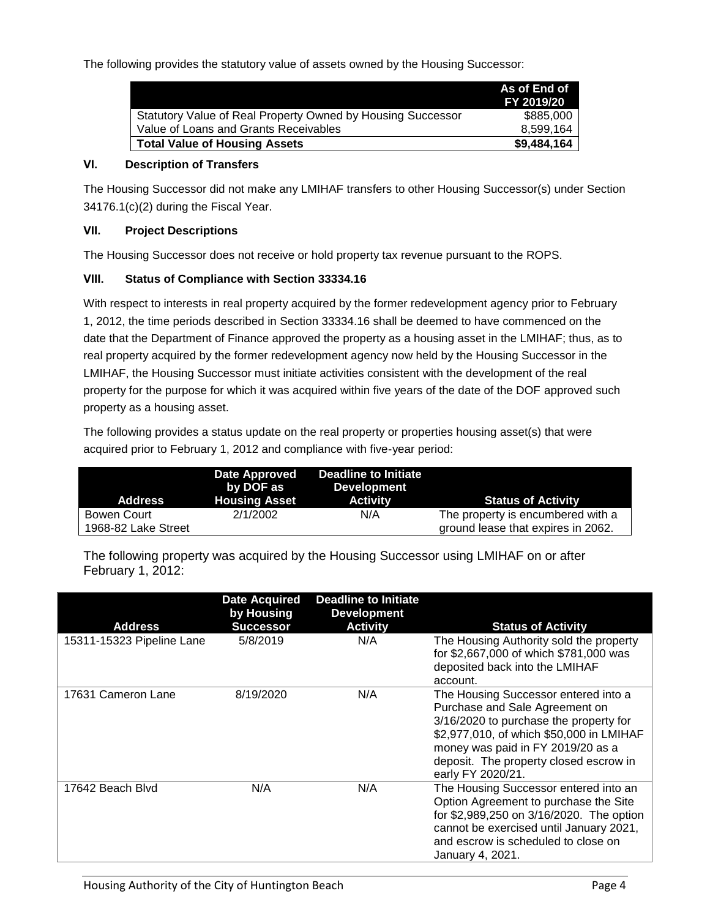The following provides the statutory value of assets owned by the Housing Successor:

|                                                             | As of End of<br>FY 2019/20 |
|-------------------------------------------------------------|----------------------------|
| Statutory Value of Real Property Owned by Housing Successor | \$885,000                  |
| Value of Loans and Grants Receivables                       | 8.599.164                  |
| <b>Total Value of Housing Assets</b>                        | \$9,484,164                |

### **VI. Description of Transfers**

The Housing Successor did not make any LMIHAF transfers to other Housing Successor(s) under Section 34176.1(c)(2) during the Fiscal Year.

### **VII. Project Descriptions**

The Housing Successor does not receive or hold property tax revenue pursuant to the ROPS.

#### **VIII. Status of Compliance with Section 33334.16**

With respect to interests in real property acquired by the former redevelopment agency prior to February 1, 2012, the time periods described in Section 33334.16 shall be deemed to have commenced on the date that the Department of Finance approved the property as a housing asset in the LMIHAF; thus, as to real property acquired by the former redevelopment agency now held by the Housing Successor in the LMIHAF, the Housing Successor must initiate activities consistent with the development of the real property for the purpose for which it was acquired within five years of the date of the DOF approved such property as a housing asset.

The following provides a status update on the real property or properties housing asset(s) that were acquired prior to February 1, 2012 and compliance with five-year period:

| Address             | <b>Date Approved</b><br>by DOF as<br><b>Housing Asset</b> | Deadline to Initiate<br><b>Development</b><br><b>Activity</b> | <b>Status of Activity</b>          |
|---------------------|-----------------------------------------------------------|---------------------------------------------------------------|------------------------------------|
| Bowen Court         | 2/1/2002                                                  | N/A                                                           | The property is encumbered with a  |
| 1968-82 Lake Street |                                                           |                                                               | ground lease that expires in 2062. |

The following property was acquired by the Housing Successor using LMIHAF on or after February 1, 2012:

| <b>Address</b>            | <b>Date Acquired</b><br>by Housing<br><b>Successor</b> | <b>Deadline to Initiate</b><br><b>Development</b><br><b>Activity</b> | <b>Status of Activity</b>                                                                                                                                                                                                                                        |
|---------------------------|--------------------------------------------------------|----------------------------------------------------------------------|------------------------------------------------------------------------------------------------------------------------------------------------------------------------------------------------------------------------------------------------------------------|
| 15311-15323 Pipeline Lane | 5/8/2019                                               | N/A                                                                  | The Housing Authority sold the property<br>for \$2,667,000 of which \$781,000 was<br>deposited back into the LMIHAF<br>account.                                                                                                                                  |
| 17631 Cameron Lane        | 8/19/2020                                              | N/A                                                                  | The Housing Successor entered into a<br>Purchase and Sale Agreement on<br>3/16/2020 to purchase the property for<br>\$2,977,010, of which \$50,000 in LMIHAF<br>money was paid in FY 2019/20 as a<br>deposit. The property closed escrow in<br>early FY 2020/21. |
| 17642 Beach Blvd          | N/A                                                    | N/A                                                                  | The Housing Successor entered into an<br>Option Agreement to purchase the Site<br>for \$2,989,250 on 3/16/2020. The option<br>cannot be exercised until January 2021,<br>and escrow is scheduled to close on<br>January 4, 2021.                                 |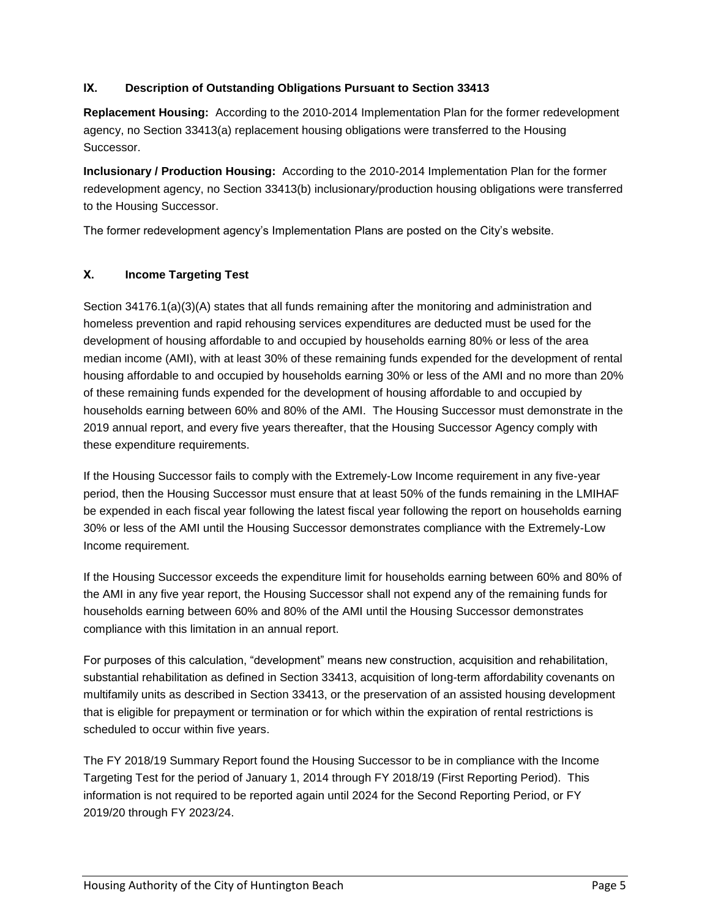## **IX. Description of Outstanding Obligations Pursuant to Section 33413**

**Replacement Housing:** According to the 2010-2014 Implementation Plan for the former redevelopment agency, no Section 33413(a) replacement housing obligations were transferred to the Housing Successor.

**Inclusionary / Production Housing:** According to the 2010-2014 Implementation Plan for the former redevelopment agency, no Section 33413(b) inclusionary/production housing obligations were transferred to the Housing Successor.

The former redevelopment agency's Implementation Plans are posted on the City's website.

## **X. Income Targeting Test**

Section 34176.1(a)(3)(A) states that all funds remaining after the monitoring and administration and homeless prevention and rapid rehousing services expenditures are deducted must be used for the development of housing affordable to and occupied by households earning 80% or less of the area median income (AMI), with at least 30% of these remaining funds expended for the development of rental housing affordable to and occupied by households earning 30% or less of the AMI and no more than 20% of these remaining funds expended for the development of housing affordable to and occupied by households earning between 60% and 80% of the AMI. The Housing Successor must demonstrate in the 2019 annual report, and every five years thereafter, that the Housing Successor Agency comply with these expenditure requirements.

If the Housing Successor fails to comply with the Extremely-Low Income requirement in any five-year period, then the Housing Successor must ensure that at least 50% of the funds remaining in the LMIHAF be expended in each fiscal year following the latest fiscal year following the report on households earning 30% or less of the AMI until the Housing Successor demonstrates compliance with the Extremely-Low Income requirement.

If the Housing Successor exceeds the expenditure limit for households earning between 60% and 80% of the AMI in any five year report, the Housing Successor shall not expend any of the remaining funds for households earning between 60% and 80% of the AMI until the Housing Successor demonstrates compliance with this limitation in an annual report.

For purposes of this calculation, "development" means new construction, acquisition and rehabilitation, substantial rehabilitation as defined in Section 33413, acquisition of long-term affordability covenants on multifamily units as described in Section 33413, or the preservation of an assisted housing development that is eligible for prepayment or termination or for which within the expiration of rental restrictions is scheduled to occur within five years.

The FY 2018/19 Summary Report found the Housing Successor to be in compliance with the Income Targeting Test for the period of January 1, 2014 through FY 2018/19 (First Reporting Period). This information is not required to be reported again until 2024 for the Second Reporting Period, or FY 2019/20 through FY 2023/24.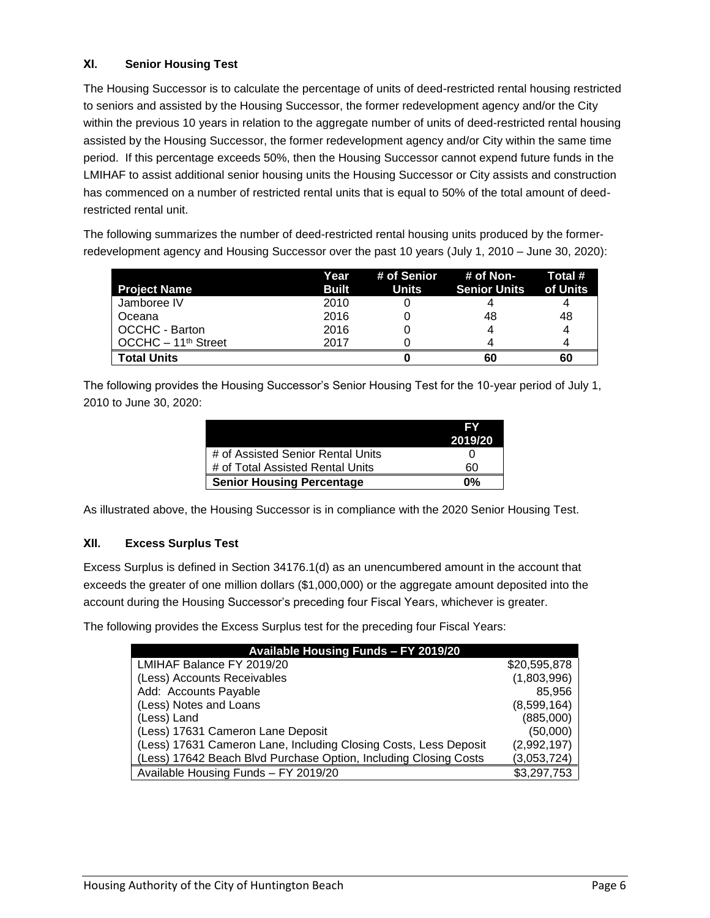## **XI. Senior Housing Test**

The Housing Successor is to calculate the percentage of units of deed-restricted rental housing restricted to seniors and assisted by the Housing Successor, the former redevelopment agency and/or the City within the previous 10 years in relation to the aggregate number of units of deed-restricted rental housing assisted by the Housing Successor, the former redevelopment agency and/or City within the same time period. If this percentage exceeds 50%, then the Housing Successor cannot expend future funds in the LMIHAF to assist additional senior housing units the Housing Successor or City assists and construction has commenced on a number of restricted rental units that is equal to 50% of the total amount of deedrestricted rental unit.

The following summarizes the number of deed-restricted rental housing units produced by the formerredevelopment agency and Housing Successor over the past 10 years (July 1, 2010 – June 30, 2020):

| <b>Project Name</b>             | Year<br><b>Built</b> | # of Senior<br><b>Units</b> | # of Non-<br><b>Senior Units</b> | Total #<br>of Units |
|---------------------------------|----------------------|-----------------------------|----------------------------------|---------------------|
| Jamboree IV                     | 2010                 |                             |                                  |                     |
| Oceana                          | 2016                 |                             | 48                               | 48                  |
| OCCHC - Barton                  | 2016                 |                             |                                  | 4                   |
| OCCHC - 11 <sup>th</sup> Street | 2017                 |                             |                                  |                     |
| <b>Total Units</b>              |                      |                             | 60                               | 60                  |

The following provides the Housing Successor's Senior Housing Test for the 10-year period of July 1, 2010 to June 30, 2020:

|                                   | EV<br>2019/20 |
|-----------------------------------|---------------|
| # of Assisted Senior Rental Units |               |
| # of Total Assisted Rental Units  | 60            |
| <b>Senior Housing Percentage</b>  | በ%            |

As illustrated above, the Housing Successor is in compliance with the 2020 Senior Housing Test.

## **XII. Excess Surplus Test**

Excess Surplus is defined in Section 34176.1(d) as an unencumbered amount in the account that exceeds the greater of one million dollars (\$1,000,000) or the aggregate amount deposited into the account during the Housing Successor's preceding four Fiscal Years, whichever is greater.

The following provides the Excess Surplus test for the preceding four Fiscal Years:

| Available Housing Funds - FY 2019/20                             |              |
|------------------------------------------------------------------|--------------|
| LMIHAF Balance FY 2019/20                                        | \$20,595,878 |
| (Less) Accounts Receivables                                      | (1,803,996)  |
| Add: Accounts Payable                                            | 85,956       |
| (Less) Notes and Loans                                           | (8,599,164)  |
| (Less) Land                                                      | (885,000)    |
| (Less) 17631 Cameron Lane Deposit                                | (50,000)     |
| (Less) 17631 Cameron Lane, Including Closing Costs, Less Deposit | (2,992,197)  |
| (Less) 17642 Beach Blvd Purchase Option, Including Closing Costs | (3,053,724)  |
| Available Housing Funds - FY 2019/20                             | \$3,297,753  |